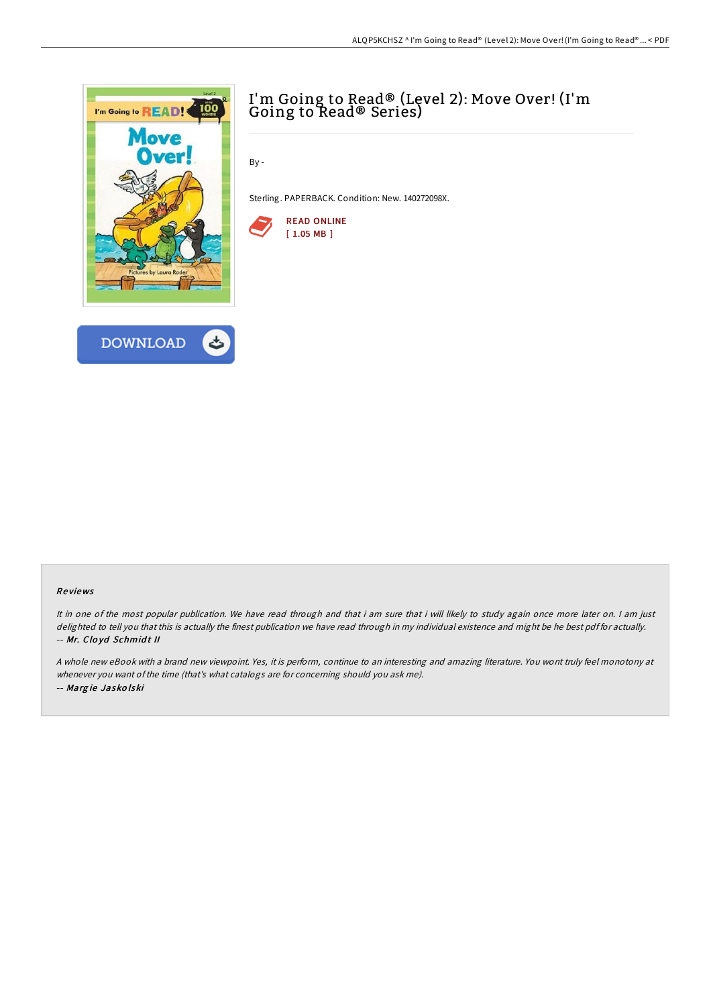



## I'm Going to Read® (Level 2): Move Over! (I'm Going to Read® Series)

By -

Sterling. PAPERBACK. Condition: New. 140272098X.



## Re views

It in one of the most popular publication. We have read through and that i am sure that i will likely to study again once more later on. I am just delighted to tell you that this is actually the finest publication we have read through in my individual existence and might be he best pdf for actually. -- Mr. Clo yd Schmid <sup>t</sup> II

<sup>A</sup> whole new eBook with <sup>a</sup> brand new viewpoint. Yes, it is perform, continue to an interesting and amazing literature. You wont truly feel monotony at whenever you want of the time (that's what catalogs are for concerning should you ask me). -- Marg ie Jasko lski